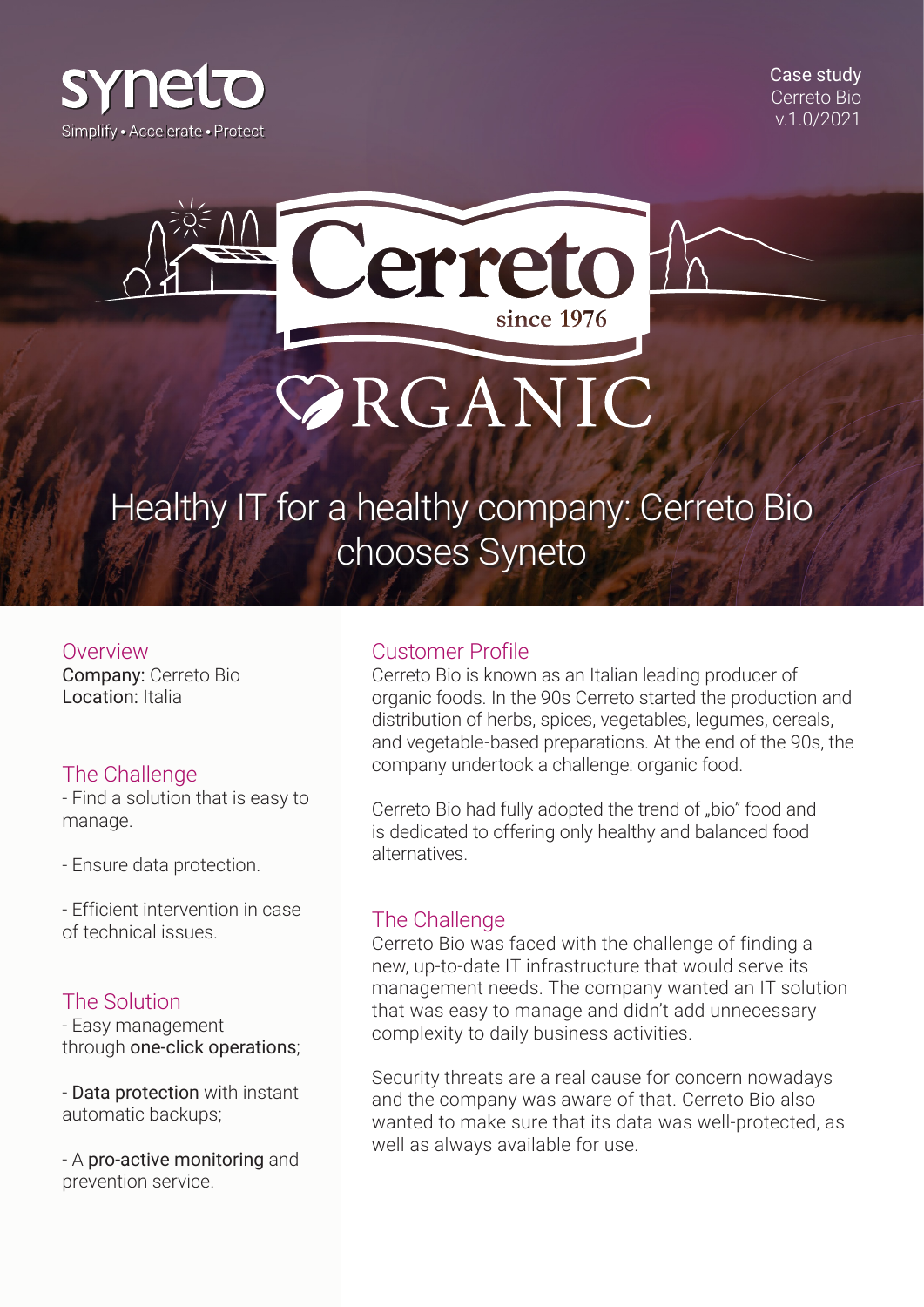

Case study Cerreto Bio v.1.0/2021



# Healthy IT for a healthy company: Cerreto Bio chooses Syneto

Overview

Company: Cerreto Bio Location: Italia

## The Challenge

- Find a solution that is easy to manage.

- Ensure data protection.

- Efficient intervention in case of technical issues.

## The Solution

- Easy management through one-click operations;

- Data protection with instant automatic backups;

- A pro-active monitoring and prevention service.

#### Customer Profile

Cerreto Bio is known as an Italian leading producer of organic foods. In the 90s Cerreto started the production and distribution of herbs, spices, vegetables, legumes, cereals, and vegetable-based preparations. At the end of the 90s, the company undertook a challenge: organic food.

Cerreto Bio had fully adopted the trend of "bio" food and is dedicated to offering only healthy and balanced food alternatives.

#### The Challenge

Cerreto Bio was faced with the challenge of finding a new, up-to-date IT infrastructure that would serve its management needs. The company wanted an IT solution that was easy to manage and didn't add unnecessary complexity to daily business activities.

Security threats are a real cause for concern nowadays and the company was aware of that. Cerreto Bio also wanted to make sure that its data was well-protected, as well as always available for use.